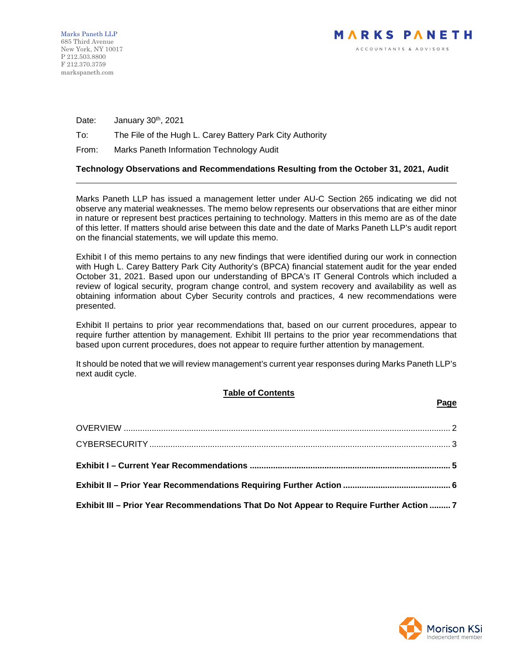Date: January 30<sup>th</sup>, 2021

# To: The File of the Hugh L. Carey Battery Park City Authority

From: Marks Paneth Information Technology Audit

# **Technology Observations and Recommendations Resulting from the October 31, 2021, Audit**

Marks Paneth LLP has issued a management letter under AU-C Section 265 indicating we did not observe any material weaknesses. The memo below represents our observations that are either minor in nature or represent best practices pertaining to technology. Matters in this memo are as of the date of this letter. If matters should arise between this date and the date of Marks Paneth LLP's audit report on the financial statements, we will update this memo.

Exhibit I of this memo pertains to any new findings that were identified during our work in connection with Hugh L. Carey Battery Park City Authority's (BPCA) financial statement audit for the year ended October 31, 2021. Based upon our understanding of BPCA's IT General Controls which included a review of logical security, program change control, and system recovery and availability as well as obtaining information about Cyber Security controls and practices, 4 new recommendations were presented.

Exhibit II pertains to prior year recommendations that, based on our current procedures, appear to require further attention by management. Exhibit III pertains to the prior year recommendations that based upon current procedures, does not appear to require further attention by management.

It should be noted that we will review management's current year responses during Marks Paneth LLP's next audit cycle.

# **Table of Contents**

| Exhibit III - Prior Year Recommendations That Do Not Appear to Require Further Action  7 |  |
|------------------------------------------------------------------------------------------|--|



**Page**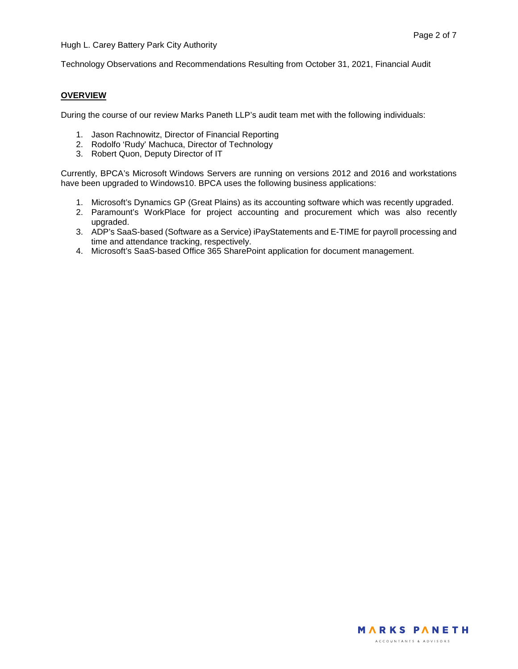Technology Observations and Recommendations Resulting from October 31, 2021, Financial Audit

## <span id="page-1-0"></span>**OVERVIEW**

During the course of our review Marks Paneth LLP's audit team met with the following individuals:

- 1. Jason Rachnowitz, Director of Financial Reporting
- 2. Rodolfo 'Rudy' Machuca, Director of Technology
- 3. Robert Quon, Deputy Director of IT

Currently, BPCA's Microsoft Windows Servers are running on versions 2012 and 2016 and workstations have been upgraded to Windows10. BPCA uses the following business applications:

- 1. Microsoft's Dynamics GP (Great Plains) as its accounting software which was recently upgraded.
- 2. Paramount's WorkPlace for project accounting and procurement which was also recently upgraded.
- 3. ADP's SaaS-based (Software as a Service) iPayStatements and E-TIME for payroll processing and time and attendance tracking, respectively.
- 4. Microsoft's SaaS-based Office 365 SharePoint application for document management.

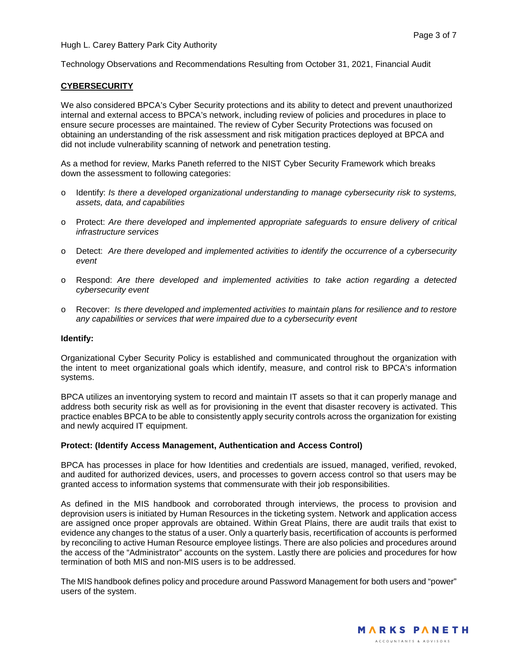Technology Observations and Recommendations Resulting from October 31, 2021, Financial Audit

## <span id="page-2-0"></span>**CYBERSECURITY**

We also considered BPCA's Cyber Security protections and its ability to detect and prevent unauthorized internal and external access to BPCA's network, including review of policies and procedures in place to ensure secure processes are maintained. The review of Cyber Security Protections was focused on obtaining an understanding of the risk assessment and risk mitigation practices deployed at BPCA and did not include vulnerability scanning of network and penetration testing.

As a method for review, Marks Paneth referred to the NIST Cyber Security Framework which breaks down the assessment to following categories:

- o Identify: *Is there a developed organizational understanding to manage cybersecurity risk to systems, assets, data, and capabilities*
- o Protect: *Are there developed and implemented appropriate safeguards to ensure delivery of critical infrastructure services*
- o Detect: *Are there developed and implemented activities to identify the occurrence of a cybersecurity event*
- o Respond: *Are there developed and implemented activities to take action regarding a detected cybersecurity event*
- o Recover: *Is there developed and implemented activities to maintain plans for resilience and to restore any capabilities or services that were impaired due to a cybersecurity event*

#### **Identify:**

Organizational Cyber Security Policy is established and communicated throughout the organization with the intent to meet organizational goals which identify, measure, and control risk to BPCA's information systems.

BPCA utilizes an inventorying system to record and maintain IT assets so that it can properly manage and address both security risk as well as for provisioning in the event that disaster recovery is activated. This practice enables BPCA to be able to consistently apply security controls across the organization for existing and newly acquired IT equipment.

#### **Protect: (Identify Access Management, Authentication and Access Control)**

BPCA has processes in place for how Identities and credentials are issued, managed, verified, revoked, and audited for authorized devices, users, and processes to govern access control so that users may be granted access to information systems that commensurate with their job responsibilities.

As defined in the MIS handbook and corroborated through interviews, the process to provision and deprovision users is initiated by Human Resources in the ticketing system. Network and application access are assigned once proper approvals are obtained. Within Great Plains, there are audit trails that exist to evidence any changes to the status of a user. Only a quarterly basis, recertification of accounts is performed by reconciling to active Human Resource employee listings. There are also policies and procedures around the access of the "Administrator" accounts on the system. Lastly there are policies and procedures for how termination of both MIS and non-MIS users is to be addressed.

The MIS handbook defines policy and procedure around Password Management for both users and "power" users of the system.

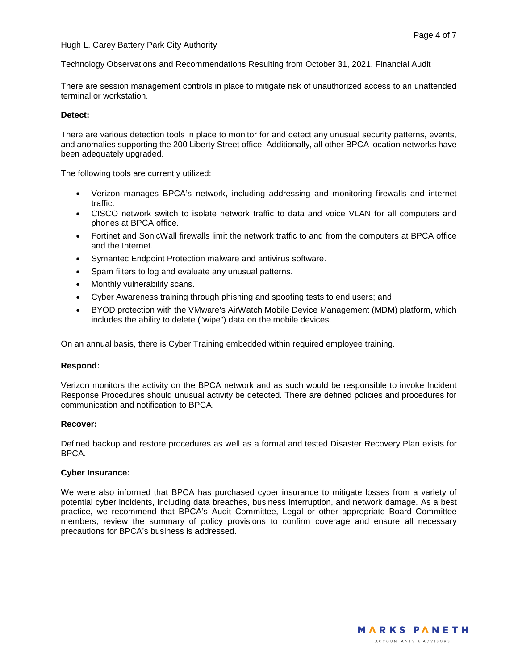### Hugh L. Carey Battery Park City Authority

Technology Observations and Recommendations Resulting from October 31, 2021, Financial Audit

There are session management controls in place to mitigate risk of unauthorized access to an unattended terminal or workstation.

#### **Detect:**

There are various detection tools in place to monitor for and detect any unusual security patterns, events, and anomalies supporting the 200 Liberty Street office. Additionally, all other BPCA location networks have been adequately upgraded.

The following tools are currently utilized:

- Verizon manages BPCA's network, including addressing and monitoring firewalls and internet traffic.
- CISCO network switch to isolate network traffic to data and voice VLAN for all computers and phones at BPCA office.
- Fortinet and SonicWall firewalls limit the network traffic to and from the computers at BPCA office and the Internet.
- Symantec Endpoint Protection malware and antivirus software.
- Spam filters to log and evaluate any unusual patterns.
- Monthly vulnerability scans.
- Cyber Awareness training through phishing and spoofing tests to end users; and
- BYOD protection with the VMware's AirWatch Mobile Device Management (MDM) platform, which includes the ability to delete ("wipe") data on the mobile devices.

On an annual basis, there is Cyber Training embedded within required employee training.

#### **Respond:**

Verizon monitors the activity on the BPCA network and as such would be responsible to invoke Incident Response Procedures should unusual activity be detected. There are defined policies and procedures for communication and notification to BPCA.

#### **Recover:**

Defined backup and restore procedures as well as a formal and tested Disaster Recovery Plan exists for BPCA.

### **Cyber Insurance:**

We were also informed that BPCA has purchased cyber insurance to mitigate losses from a variety of potential cyber incidents, including data breaches, business interruption, and network damage. As a best practice, we recommend that BPCA's Audit Committee, Legal or other appropriate Board Committee members, review the summary of policy provisions to confirm coverage and ensure all necessary precautions for BPCA's business is addressed.

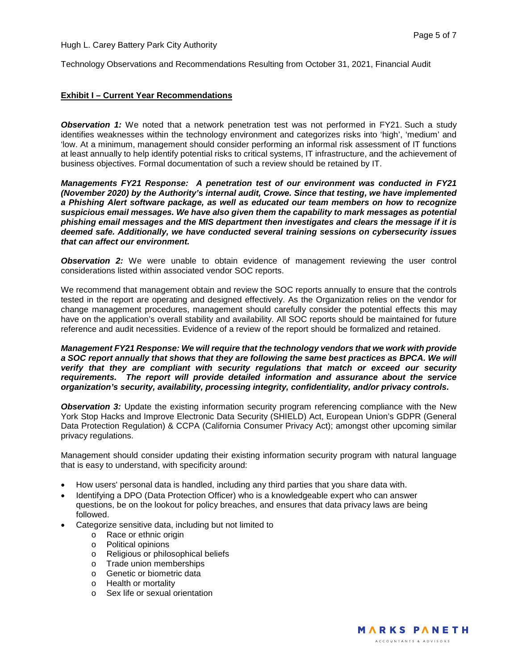Hugh L. Carey Battery Park City Authority

Technology Observations and Recommendations Resulting from October 31, 2021, Financial Audit

### <span id="page-4-0"></span>**Exhibit I – Current Year Recommendations**

**Observation 1:** We noted that a network penetration test was not performed in FY21. Such a study identifies weaknesses within the technology environment and categorizes risks into 'high', 'medium' and 'low. At a minimum, management should consider performing an informal risk assessment of IT functions at least annually to help identify potential risks to critical systems, IT infrastructure, and the achievement of business objectives. Formal documentation of such a review should be retained by IT.

*Managements FY21 Response: A penetration test of our environment was conducted in FY21 (November 2020) by the Authority's internal audit, Crowe. Since that testing, we have implemented a Phishing Alert software package, as well as educated our team members on how to recognize suspicious email messages. We have also given them the capability to mark messages as potential phishing email messages and the MIS department then investigates and clears the message if it is deemed safe. Additionally, we have conducted several training sessions on cybersecurity issues that can affect our environment.* 

**Observation 2:** We were unable to obtain evidence of management reviewing the user control considerations listed within associated vendor SOC reports.

We recommend that management obtain and review the SOC reports annually to ensure that the controls tested in the report are operating and designed effectively. As the Organization relies on the vendor for change management procedures, management should carefully consider the potential effects this may have on the application's overall stability and availability. All SOC reports should be maintained for future reference and audit necessities. Evidence of a review of the report should be formalized and retained.

*Management FY21 Response: We will require that the technology vendors that we work with provide a SOC report annually that shows that they are following the same best practices as BPCA. We will verify that they are compliant with security regulations that match or exceed our security requirements. The report will provide detailed information and assurance about the service organization's security, availability, processing integrity, confidentiality, and/or privacy controls.*

**Observation 3:** Update the existing information security program referencing compliance with the New York Stop Hacks and Improve Electronic Data Security (SHIELD) Act, European Union's GDPR (General Data Protection Regulation) & CCPA (California Consumer Privacy Act); amongst other upcoming similar privacy regulations.

Management should consider updating their existing information security program with natural language that is easy to understand, with specificity around:

- How users' personal data is handled, including any third parties that you share data with.
- Identifying a DPO (Data Protection Officer) who is a knowledgeable expert who can answer questions, be on the lookout for policy breaches, and ensures that data privacy laws are being followed.
- Categorize sensitive data, including but not limited to
	- o Race or ethnic origin
	- o Political opinions
	- o Religious or philosophical beliefs
	- o Trade union memberships
	- o Genetic or biometric data
	- o Health or mortality
	- o Sex life or sexual orientation

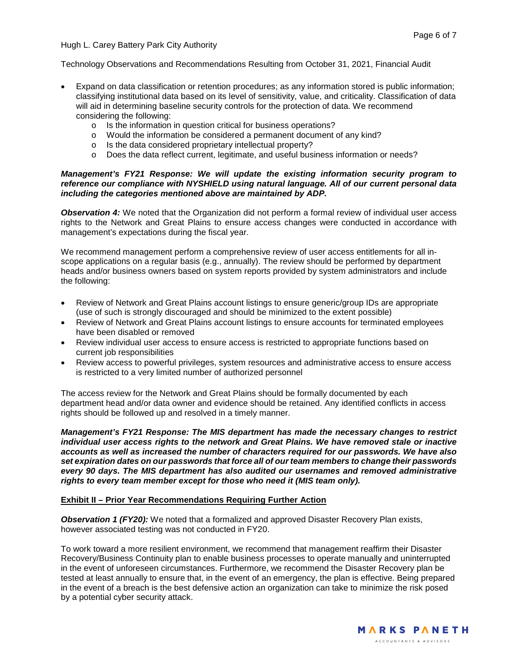Technology Observations and Recommendations Resulting from October 31, 2021, Financial Audit

- Expand on data classification or retention procedures; as any information stored is public information; classifying institutional data based on its level of sensitivity, value, and criticality. Classification of data will aid in determining baseline security controls for the protection of data. We recommend considering the following:
	- o Is the information in question critical for business operations?
	- o Would the information be considered a permanent document of any kind?
	- o Is the data considered proprietary intellectual property?
	- o Does the data reflect current, legitimate, and useful business information or needs?

## *Management's FY21 Response: We will update the existing information security program to reference our compliance with NYSHIELD using natural language. All of our current personal data including the categories mentioned above are maintained by ADP.*

**Observation 4:** We noted that the Organization did not perform a formal review of individual user access rights to the Network and Great Plains to ensure access changes were conducted in accordance with management's expectations during the fiscal year.

We recommend management perform a comprehensive review of user access entitlements for all inscope applications on a regular basis (e.g., annually). The review should be performed by department heads and/or business owners based on system reports provided by system administrators and include the following:

- Review of Network and Great Plains account listings to ensure generic/group IDs are appropriate (use of such is strongly discouraged and should be minimized to the extent possible)
- Review of Network and Great Plains account listings to ensure accounts for terminated employees have been disabled or removed
- Review individual user access to ensure access is restricted to appropriate functions based on current job responsibilities
- Review access to powerful privileges, system resources and administrative access to ensure access is restricted to a very limited number of authorized personnel

The access review for the Network and Great Plains should be formally documented by each department head and/or data owner and evidence should be retained. Any identified conflicts in access rights should be followed up and resolved in a timely manner.

*Management's FY21 Response: The MIS department has made the necessary changes to restrict individual user access rights to the network and Great Plains. We have removed stale or inactive accounts as well as increased the number of characters required for our passwords. We have also set expiration dates on our passwords that force all of our team members to change their passwords every 90 days. The MIS department has also audited our usernames and removed administrative rights to every team member except for those who need it (MIS team only).*

## <span id="page-5-0"></span>**Exhibit II – Prior Year Recommendations Requiring Further Action**

**Observation 1 (FY20):** We noted that a formalized and approved Disaster Recovery Plan exists, however associated testing was not conducted in FY20.

To work toward a more resilient environment, we recommend that management reaffirm their Disaster Recovery/Business Continuity plan to enable business processes to operate manually and uninterrupted in the event of unforeseen circumstances. Furthermore, we recommend the Disaster Recovery plan be tested at least annually to ensure that, in the event of an emergency, the plan is effective. Being prepared in the event of a breach is the best defensive action an organization can take to minimize the risk posed by a potential cyber security attack.